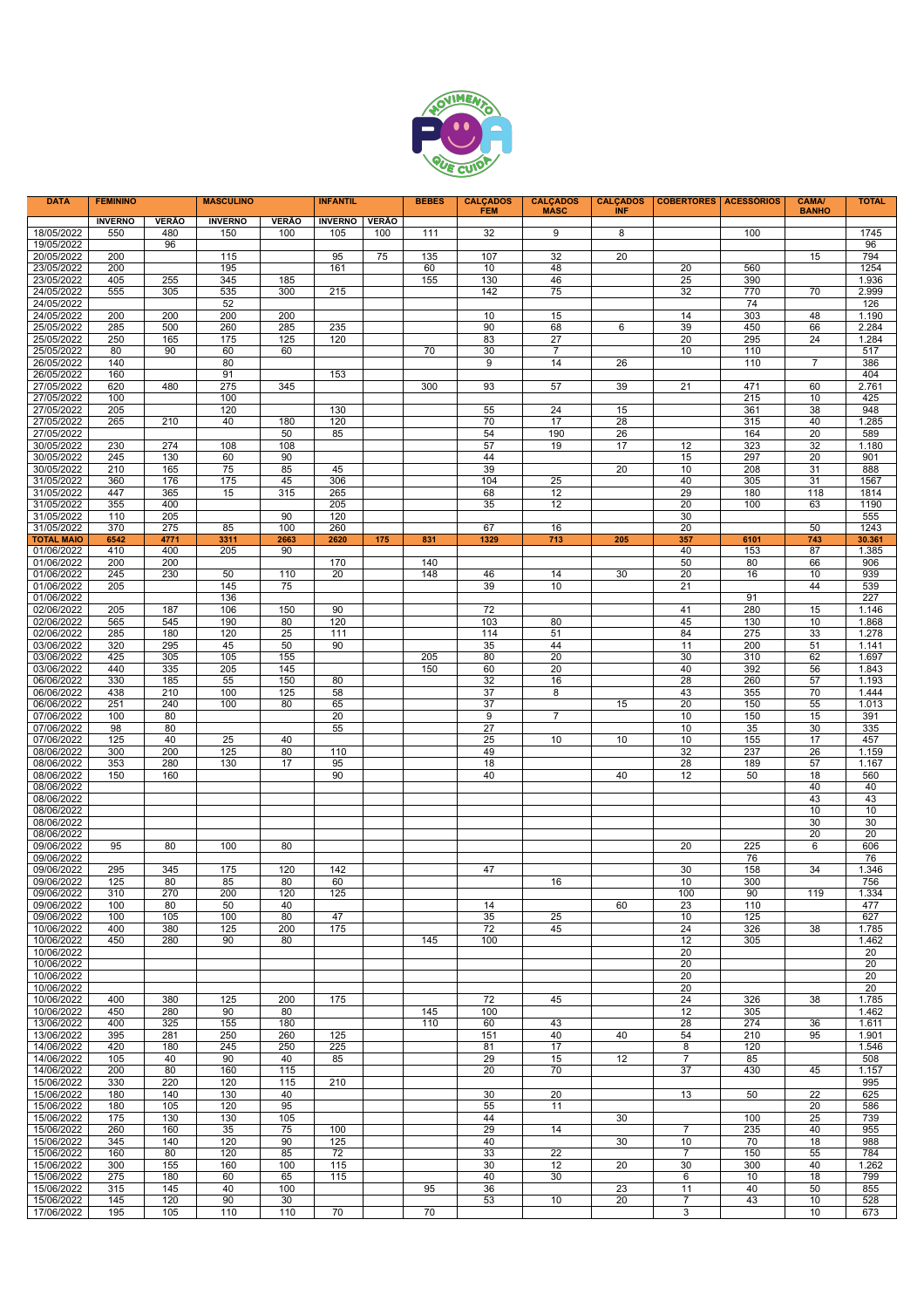

| <b>DATA</b>              | <b>FEMININO</b> |            | <b>MASCULINO</b> |              | <b>INFANTIL</b> |              | <b>BEBES</b> | <b>CALCADOS</b><br><b>FEM</b> | <b>CALCADOS</b><br><b>MASC</b> | <b>CALCADOS</b><br><b>INF</b> | <b>COBERTORES</b>    | <b>ACESSÓRIOS</b> | <b>CAMA/</b><br><b>BANHO</b> | <b>TOTAL</b>   |
|--------------------------|-----------------|------------|------------------|--------------|-----------------|--------------|--------------|-------------------------------|--------------------------------|-------------------------------|----------------------|-------------------|------------------------------|----------------|
|                          | <b>INVERNO</b>  | VERÃO      | <b>INVERNO</b>   | <b>VERÃO</b> | <b>INVERNO</b>  | <b>VERÃO</b> |              |                               |                                |                               |                      |                   |                              |                |
| 18/05/2022               | 550             | 480        | 150              | 100          | 105             | 100          | 111          | 32                            | 9                              | 8                             |                      | 100               |                              | 1745           |
| 19/05/2022<br>20/05/2022 | 200             | 96         | 115              |              | 95              | 75           | 135          | 107                           | 32                             | 20                            |                      |                   | 15                           | 96<br>794      |
| 23/05/2022               | 200             |            | 195              |              | 161             |              | 60           | 10                            | 48                             |                               | 20                   | 560               |                              | 1254           |
| 23/05/2022               | 405             | 255        | 345              | 185          |                 |              | 155          | 130                           | 46                             |                               | 25                   | 390               |                              | 1.936          |
| 24/05/2022               | 555             | 305        | 535              | 300          | 215             |              |              | 142                           | 75                             |                               | 32                   | 770               | 70                           | 2.999          |
| 24/05/2022               |                 |            | 52               |              |                 |              |              |                               |                                |                               |                      | 74                |                              | 126            |
| 24/05/2022               | 200             | 200        | 200              | 200          |                 |              |              | 10                            | 15                             |                               | 14                   | 303               | 48                           | 1.190          |
| 25/05/2022               | 285             | 500        | 260              | 285          | 235             |              |              | 90                            | 68                             | 6                             | 39                   | 450               | 66                           | 2.284          |
| 25/05/2022<br>25/05/2022 | 250<br>80       | 165<br>90  | 175<br>60        | 125<br>60    | 120             |              | 70           | 83<br>30                      | 27<br>7                        |                               | 20<br>10             | 295<br>110        | 24                           | 1.284<br>517   |
| 26/05/2022               | 140             |            | 80               |              |                 |              |              | 9                             | 14                             | 26                            |                      | 110               | 7                            | 386            |
| 26/05/2022               | 160             |            | 91               |              | 153             |              |              |                               |                                |                               |                      |                   |                              | 404            |
| 27/05/2022               | 620             | 480        | 275              | 345          |                 |              | 300          | 93                            | 57                             | 39                            | 21                   | 471               | 60                           | 2.761          |
| 27/05/2022               | 100             |            | 100              |              |                 |              |              |                               |                                |                               |                      | 215               | 10                           | 425            |
| 27/05/2022               | 205             |            | 120              |              | 130             |              |              | 55                            | 24                             | 15                            |                      | 361               | 38                           | 948            |
| 27/05/2022<br>27/05/2022 | 265             | 210        | 40               | 180<br>50    | 120<br>85       |              |              | 70<br>54                      | 17<br>190                      | 28<br>26                      |                      | 315<br>164        | 40<br>20                     | 1.285<br>589   |
| 30/05/2022               | 230             | 274        | 108              | 108          |                 |              |              | 57                            | 19                             | 17                            | 12                   | 323               | 32                           | 1.180          |
| 30/05/2022               | 245             | 130        | 60               | 90           |                 |              |              | 44                            |                                |                               | 15                   | 297               | 20                           | 901            |
| 30/05/2022               | 210             | 165        | 75               | 85           | 45              |              |              | 39                            |                                | 20                            | 10                   | 208               | 31                           | 888            |
| 31/05/2022               | 360             | 176        | 175              | 45           | 306             |              |              | 104                           | 25                             |                               | 40                   | 305               | 31                           | 1567           |
| 31/05/2022               | 447             | 365        | 15               | 315          | 265             |              |              | 68                            | 12                             |                               | 29                   | 180               | 118                          | 1814           |
| 31/05/2022               | 355             | 400        |                  |              | 205             |              |              | 35                            | 12                             |                               | 20                   | 100               | 63                           | 1190           |
| 31/05/2022<br>31/05/2022 | 110<br>370      | 205<br>275 | 85               | 90<br>100    | 120<br>260      |              |              | 67                            | 16                             |                               | 30<br>20             |                   | 50                           | 555<br>1243    |
| <b>TOTAL MAIO</b>        | 6542            | 4771       | 3311             | 2663         | 2620            | 175          | 831          | 1329                          | 713                            | 205                           | 357                  | 6101              | 743                          | 30.361         |
| 01/06/2022               | 410             | 400        | 205              | 90           |                 |              |              |                               |                                |                               | 40                   | 153               | 87                           | 1.385          |
| 01/06/2022               | 200             | 200        |                  |              | 170             |              | 140          |                               |                                |                               | 50                   | 80                | 66                           | 906            |
| 01/06/2022               | 245             | 230        | 50               | 110          | 20              |              | 148          | 46                            | 14                             | 30                            | 20                   | 16                | 10                           | 939            |
| 01/06/2022<br>01/06/2022 | 205             |            | 145<br>136       | 75           |                 |              |              | 39                            | 10                             |                               | 21                   | 91                | 44                           | 539<br>227     |
| 02/06/2022               | 205             | 187        | 106              | 150          | 90              |              |              | 72                            |                                |                               | 41                   | 280               | 15                           | 1.146          |
| 02/06/2022               | 565             | 545        | 190              | 80           | 120             |              |              | 103                           | 80                             |                               | 45                   | 130               | 10                           | 1.868          |
| 02/06/2022               | 285             | 180        | 120              | 25           | 111             |              |              | 114                           | 51                             |                               | 84                   | 275               | 33                           | 1.278          |
| 03/06/2022               | 320             | 295        | 45               | 50           | 90              |              |              | 35                            | 44                             |                               | 11                   | 200               | 51                           | 1.141          |
| 03/06/2022               | 425             | 305        | 105              | 155          |                 |              | 205          | 80                            | 20                             |                               | 30                   | 310               | 62                           | 1.697          |
| 03/06/2022               | 440             | 335        | 205              | 145          |                 |              | 150          | 60                            | 20                             |                               | 40                   | 392               | 56                           | 1.843          |
| 06/06/2022<br>06/06/2022 | 330<br>438      | 185<br>210 | 55<br>100        | 150<br>125   | 80<br>58        |              |              | 32<br>37                      | 16<br>8                        |                               | 28<br>43             | 260<br>355        | 57<br>70                     | 1.193<br>1.444 |
| 06/06/2022               | 251             | 240        | 100              | 80           | 65              |              |              | 37                            |                                | 15                            | 20                   | 150               | 55                           | 1.013          |
| 07/06/2022               | 100             | 80         |                  |              | 20              |              |              | 9                             | $\overline{7}$                 |                               | 10                   | 150               | 15                           | 391            |
| 07/06/2022               | 98              | 80         |                  |              | 55              |              |              | 27                            |                                |                               | 10                   | 35                | 30                           | 335            |
| 07/06/2022               | 125             | 40         | 25               | 40           |                 |              |              | 25                            | 10                             | 10                            | 10                   | 155               | 17                           | 457            |
| 08/06/2022               | 300             | 200        | 125              | 80           | 110             |              |              | 49                            |                                |                               | 32                   | 237               | 26                           | 1.159          |
| 08/06/2022<br>08/06/2022 | 353<br>150      | 280<br>160 | 130              | 17           | 95<br>90        |              |              | 18<br>40                      |                                | 40                            | 28<br>12             | 189<br>50         | 57<br>18                     | 1.167<br>560   |
| 08/06/2022               |                 |            |                  |              |                 |              |              |                               |                                |                               |                      |                   | 40                           | 40             |
| 08/06/2022               |                 |            |                  |              |                 |              |              |                               |                                |                               |                      |                   | 43                           | 43             |
| 08/06/2022               |                 |            |                  |              |                 |              |              |                               |                                |                               |                      |                   | 10                           | 10             |
| 08/06/2022               |                 |            |                  |              |                 |              |              |                               |                                |                               |                      |                   | 30                           | 30             |
| 08/06/2022               |                 |            |                  |              |                 |              |              |                               |                                |                               |                      |                   | 20                           | 20             |
| 09/06/2022<br>09/06/2022 | 95              | 80         | 100              | 80           |                 |              |              |                               |                                |                               | 20                   | 225<br>76         | 6                            | 606<br>76      |
| 09/06/2022               | 295             | 345        | 175              | 120          | 142             |              |              | 47                            |                                |                               | 30                   | 158               | 34                           | 1.346          |
| 09/06/2022               | 125             | 80         | 85               | 80           | 60              |              |              |                               | 16                             |                               | 10                   | 300               |                              | 756            |
| 09/06/2022               | 310             | 270        | 200              | 120          | 125             |              |              |                               |                                |                               | 100                  | 90                | 119                          | 1.334          |
| 09/06/2022               | 100             | 80         | 50               | 40           |                 |              |              | 14                            |                                | 60                            | 23                   | 110               |                              | 477            |
| 09/06/2022               | 100             | 105        | 100              | 80           | 47              |              |              | 35                            | 25                             |                               | 10                   | 125               |                              | 627            |
| 10/06/2022<br>10/06/2022 | 400<br>450      | 380<br>280 | 125<br>90        | 200<br>80    | 175             |              | 145          | 72<br>100                     | 45                             |                               | 24<br>12             | 326<br>305        | 38                           | 1.785<br>1.462 |
| 10/06/2022               |                 |            |                  |              |                 |              |              |                               |                                |                               | 20                   |                   |                              | 20             |
| 10/06/2022               |                 |            |                  |              |                 |              |              |                               |                                |                               | 20                   |                   |                              | 20             |
| 10/06/2022               |                 |            |                  |              |                 |              |              |                               |                                |                               | 20                   |                   |                              | 20             |
| 10/06/2022               |                 |            |                  |              |                 |              |              |                               |                                |                               | 20                   |                   |                              | 20             |
| 10/06/2022               | 400             | 380        | 125              | 200          | 175             |              |              | 72                            | 45                             |                               | 24                   | 326               | 38                           | 1.785          |
| 10/06/2022               | 450<br>400      | 280<br>325 | 90<br>155        | 80<br>180    |                 |              | 145<br>110   | 100<br>60                     | 43                             |                               | 12<br>28             | 305<br>274        | 36                           | 1.462          |
| 13/06/2022<br>13/06/2022 | 395             | 281        | 250              | 260          | 125             |              |              | 151                           | 40                             | 40                            | 54                   | 210               | 95                           | 1.611<br>1.901 |
| 14/06/2022               | 420             | 180        | 245              | 250          | 225             |              |              | 81                            | 17                             |                               | 8                    | 120               |                              | 1.546          |
| 14/06/2022               | 105             | 40         | 90               | 40           | 85              |              |              | 29                            | 15                             | 12                            | $\overline{7}$       | 85                |                              | 508            |
| 14/06/2022               | 200             | 80         | 160              | 115          |                 |              |              | 20                            | 70                             |                               | 37                   | 430               | 45                           | 1.157          |
| 15/06/2022               | 330             | 220        | 120              | 115          | 210             |              |              |                               |                                |                               |                      |                   |                              | 995            |
| 15/06/2022               | 180             | 140        | 130              | 40           |                 |              |              | 30                            | 20                             |                               | 13                   | 50                | 22                           | 625            |
| 15/06/2022<br>15/06/2022 | 180<br>175      | 105<br>130 | 120<br>130       | 95<br>105    |                 |              |              | 55<br>44                      | 11                             | 30                            |                      | 100               | 20<br>25                     | 586<br>739     |
| 15/06/2022               | 260             | 160        | 35               | 75           | 100             |              |              | 29                            | 14                             |                               | $\overline{7}$       | 235               | 40                           | 955            |
| 15/06/2022               | 345             | 140        | 120              | 90           | 125             |              |              | 40                            |                                | 30                            | 10                   | 70                | 18                           | 988            |
| 15/06/2022               | 160             | 80         | 120              | 85           | 72              |              |              | 33                            | 22                             |                               | $\overline{7}$       | 150               | 55                           | 784            |
| 15/06/2022               | 300             | 155        | 160              | 100          | 115             |              |              | 30                            | 12                             | 20                            | 30                   | 300               | 40                           | 1.262          |
| 15/06/2022               | 275             | 180        | 60               | 65           | 115             |              |              | 40                            | 30                             |                               | 6                    | 10                | 18                           | 799            |
| 15/06/2022<br>15/06/2022 | 315<br>145      | 145<br>120 | 40<br>90         | 100<br>30    |                 |              | 95           | 36<br>53                      | 10                             | 23<br>20                      | 11<br>$\overline{7}$ | 40<br>43          | 50<br>10                     | 855<br>528     |
| 17/06/2022               | 195             | 105        | 110              | 110          | 70              |              | 70           |                               |                                |                               | 3                    |                   | 10                           | 673            |